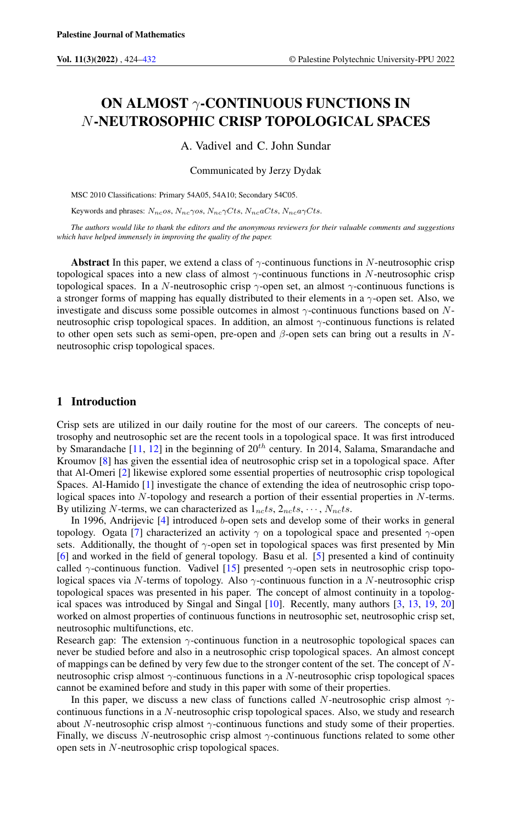# ON ALMOST  $γ$ -CONTINUOUS FUNCTIONS IN N-NEUTROSOPHIC CRISP TOPOLOGICAL SPACES

A. Vadivel and C. John Sundar

Communicated by Jerzy Dydak

MSC 2010 Classifications: Primary 54A05, 54A10; Secondary 54C05.

Keywords and phrases:  $N_{nc}$ os,  $N_{nc}$  $\gamma$ os,  $N_{nc}$  $\gamma C$ ts,  $N_{nc}$ a $C$ ts,  $N_{nc}$ a $\gamma C$ ts.

*The authors would like to thank the editors and the anonymous reviewers for their valuable comments and suggestions which have helped immensely in improving the quality of the paper.*

Abstract In this paper, we extend a class of  $\gamma$ -continuous functions in N-neutrosophic crisp topological spaces into a new class of almost  $\gamma$ -continuous functions in N-neutrosophic crisp topological spaces. In a N-neutrosophic crisp  $\gamma$ -open set, an almost  $\gamma$ -continuous functions is a stronger forms of mapping has equally distributed to their elements in a  $\gamma$ -open set. Also, we investigate and discuss some possible outcomes in almost γ-continuous functions based on Nneutrosophic crisp topological spaces. In addition, an almost  $\gamma$ -continuous functions is related to other open sets such as semi-open, pre-open and  $\beta$ -open sets can bring out a results in Nneutrosophic crisp topological spaces.

## 1 Introduction

Crisp sets are utilized in our daily routine for the most of our careers. The concepts of neutrosophy and neutrosophic set are the recent tools in a topological space. It was first introduced by Smarandache  $[11, 12]$  $[11, 12]$  $[11, 12]$  in the beginning of  $20<sup>th</sup>$  century. In 2014, Salama, Smarandache and Kroumov [\[8\]](#page-7-3) has given the essential idea of neutrosophic crisp set in a topological space. After that Al-Omeri [\[2\]](#page-7-4) likewise explored some essential properties of neutrosophic crisp topological Spaces. Al-Hamido [\[1\]](#page-7-5) investigate the chance of extending the idea of neutrosophic crisp topological spaces into N-topology and research a portion of their essential properties in N-terms. By utilizing N-terms, we can characterized as  $1_{nc}ts, 2_{nc}ts, \cdots, N_{nc}ts$ .

In 1996, Andrijevic [\[4\]](#page-7-6) introduced b-open sets and develop some of their works in general topology. Ogata [\[7\]](#page-7-7) characterized an activity  $\gamma$  on a topological space and presented  $\gamma$ -open sets. Additionally, the thought of  $\gamma$ -open set in topological spaces was first presented by Min [\[6\]](#page-7-8) and worked in the field of general topology. Basu et al. [\[5\]](#page-7-9) presented a kind of continuity called  $\gamma$ -continuous function. Vadivel [\[15\]](#page-7-10) presented  $\gamma$ -open sets in neutrosophic crisp topological spaces via N-terms of topology. Also  $\gamma$ -continuous function in a N-neutrosophic crisp topological spaces was presented in his paper. The concept of almost continuity in a topological spaces was introduced by Singal and Singal [\[10\]](#page-7-11). Recently, many authors [\[3,](#page-7-12) [13,](#page-7-13) [19,](#page-7-14) [20\]](#page-7-15) worked on almost properties of continuous functions in neutrosophic set, neutrosophic crisp set, neutrosophic multifunctions, etc.

Research gap: The extension  $\gamma$ -continuous function in a neutrosophic topological spaces can never be studied before and also in a neutrosophic crisp topological spaces. An almost concept of mappings can be defined by very few due to the stronger content of the set. The concept of Nneutrosophic crisp almost  $\gamma$ -continuous functions in a N-neutrosophic crisp topological spaces cannot be examined before and study in this paper with some of their properties.

In this paper, we discuss a new class of functions called N-neutrosophic crisp almost  $\gamma$ continuous functions in a N-neutrosophic crisp topological spaces. Also, we study and research about N-neutrosophic crisp almost γ-continuous functions and study some of their properties. Finally, we discuss N-neutrosophic crisp almost  $\gamma$ -continuous functions related to some other open sets in N-neutrosophic crisp topological spaces.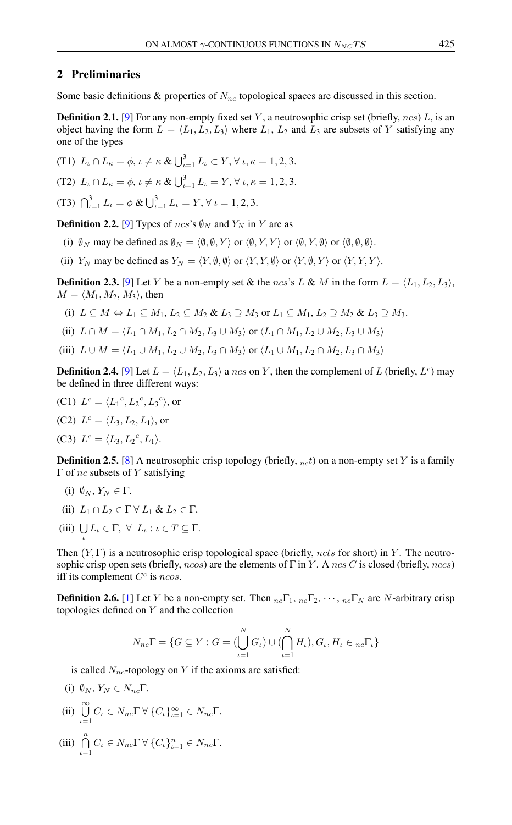## 2 Preliminaries

Some basic definitions & properties of  $N_{nc}$  topological spaces are discussed in this section.

**Definition 2.1.** [\[9\]](#page-7-16) For any non-empty fixed set Y, a neutrosophic crisp set (briefly,  $ncs$ ) L, is an object having the form  $L = \langle L_1, L_2, L_3 \rangle$  where  $L_1$ ,  $L_2$  and  $L_3$  are subsets of Y satisfying any one of the types

(T1) 
$$
L_{\iota} \cap L_{\kappa} = \phi, \iota \neq \kappa \& \bigcup_{\iota=1}^{3} L_{\iota} \subset Y, \forall \iota, \kappa = 1, 2, 3.
$$
  
(T2)  $L_{\iota} \cap L_{\kappa} = \phi, \iota \neq \kappa \& \bigcup_{\iota=1}^{3} L_{\iota} = Y, \forall \iota, \kappa = 1, 2, 3.$   
(T3)  $\bigcap_{\iota=1}^{3} L_{\iota} = \phi \& \bigcup_{\iota=1}^{3} L_{\iota} = Y, \forall \iota = 1, 2, 3.$ 

**Definition 2.2.** [\[9\]](#page-7-16) Types of ncs's  $\emptyset_N$  and  $Y_N$  in Y are as

- (i)  $\emptyset_N$  may be defined as  $\emptyset_N = \langle \emptyset, \emptyset, Y \rangle$  or  $\langle \emptyset, Y, Y \rangle$  or  $\langle \emptyset, Y, \emptyset \rangle$  or  $\langle \emptyset, \emptyset, \emptyset, \emptyset \rangle$ .
- (ii)  $Y_N$  may be defined as  $Y_N = \langle Y, \emptyset, \emptyset \rangle$  or  $\langle Y, Y, \emptyset \rangle$  or  $\langle Y, \emptyset, Y \rangle$  or  $\langle Y, Y, Y \rangle$ .

**Definition 2.3.** [\[9\]](#page-7-16) Let Y be a non-empty set & the ncs's L & M in the form  $L = \langle L_1, L_2, L_3 \rangle$ ,  $M = \langle M_1, M_2, M_3 \rangle$ , then

- (i)  $L \subseteq M \Leftrightarrow L_1 \subseteq M_1, L_2 \subseteq M_2 \& L_3 \supseteq M_3$  or  $L_1 \subseteq M_1, L_2 \supseteq M_2 \& L_3 \supseteq M_3$ .
- (ii)  $L \cap M = \langle L_1 \cap M_1, L_2 \cap M_2, L_3 \cup M_3 \rangle$  or  $\langle L_1 \cap M_1, L_2 \cup M_2, L_3 \cup M_3 \rangle$
- (iii)  $L \cup M = \langle L_1 \cup M_1, L_2 \cup M_2, L_3 \cap M_3 \rangle$  or  $\langle L_1 \cup M_1, L_2 \cap M_2, L_3 \cap M_3 \rangle$

**Definition 2.4.** [\[9\]](#page-7-16) Let  $L = \langle L_1, L_2, L_3 \rangle$  a ncs on Y, then the complement of L (briefly,  $L^c$ ) may be defined in three different ways:

(C1)  $L^c = \langle L_1^c, L_2^c, L_3^c \rangle$ , or (C2)  $L^c = \langle L_3, L_2, L_1 \rangle$ , or (C3)  $L^c = \langle L_3, L_2^c, L_1 \rangle.$ 

**Definition 2.5.** [\[8\]](#page-7-3) A neutrosophic crisp topology (briefly,  $_{nc}t$ ) on a non-empty set Y is a family  $Γ$  of *nc* subsets of *Y* satisfying

- (i)  $\emptyset_N, Y_N \in \Gamma$ .
- (ii)  $L_1 \cap L_2 \in \Gamma \ \forall \ L_1 \ \& \ L_2 \in \Gamma.$
- (iii)  $\bigcup_{\iota} L_{\iota} \in \Gamma$ ,  $\forall L_{\iota} : \iota \in T \subseteq \Gamma$ .

Then  $(Y, \Gamma)$  is a neutrosophic crisp topological space (briefly, ncts for short) in Y. The neutrosophic crisp open sets (briefly, ncos) are the elements of  $\Gamma$  in Y. A ncs C is closed (briefly, nccs) iff its complement  $C^c$  is ncos.

**Definition 2.6.** [\[1\]](#page-7-5) Let Y be a non-empty set. Then  $n_c\Gamma_1$ ,  $n_c\Gamma_2$ ,  $\cdots$ ,  $n_c\Gamma_N$  are N-arbitrary crisp topologies defined on Y and the collection

$$
N_{nc}\Gamma = \{G \subseteq Y : G = (\bigcup_{\iota=1}^{N} G_{\iota}) \cup (\bigcap_{\iota=1}^{N} H_{\iota}), G_{\iota}, H_{\iota} \in {}_{nc}\Gamma_{\iota}\}
$$

is called  $N_{nc}$ -topology on Y if the axioms are satisfied:

- (i)  $\emptyset_N, Y_N \in N_{nc} \Gamma$ .
- (ii)  $\bigcup^{\infty}$  $\bigcup_{\iota=1} C_{\iota} \in N_{nc} \Gamma \ \forall \ \{C_{\iota}\}_{\iota=1}^{\infty} \in N_{nc} \Gamma.$
- (iii)  $\bigcap^n$  $\bigcap_{\iota=1} C_{\iota} \in N_{nc} \Gamma \ \forall \ \{C_{\iota}\}_{\iota=1}^{n} \in N_{nc} \Gamma.$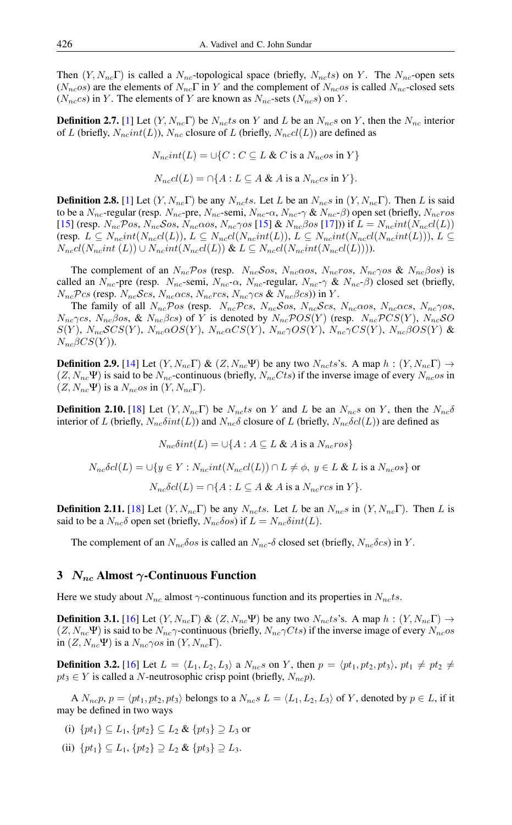Then  $(Y, N_{nc}\Gamma)$  is called a  $N_{nc}$ -topological space (briefly,  $N_{nc}ts$ ) on Y. The  $N_{nc}$ -open sets  $(N_{nc}os)$  are the elements of  $N_{nc}\Gamma$  in Y and the complement of  $N_{nc}os$  is called  $N_{nc}$ -closed sets  $(N_{nc}cs)$  in Y. The elements of Y are known as  $N_{nc}$ -sets  $(N_{nc}s)$  on Y.

**Definition 2.7.** [\[1\]](#page-7-5) Let  $(Y, N_{nc}\Gamma)$  be  $N_{nc}ts$  on Y and L be an  $N_{nc}s$  on Y, then the  $N_{nc}$  interior of L (briefly,  $N_{nc}int(L)$ ),  $N_{nc}$  closure of L (briefly,  $N_{nc}cl(L)$ ) are defined as

$$
N_{nc}int(L) = \cup \{C : C \subseteq L \& C \text{ is a } N_{nc}os \text{ in } Y\}
$$

$$
N_{nc}cl(L) = \bigcap \{ A : L \subseteq A \& A \text{ is a } N_{nc}cs \text{ in } Y \}.
$$

**Definition 2.8.** [\[1\]](#page-7-5) Let  $(Y, N_{nc} \Gamma)$  be any  $N_{nc}ts$ . Let L be an  $N_{nc}s$  in  $(Y, N_{nc} \Gamma)$ . Then L is said to be a  $N_{nc}$ -regular (resp.  $N_{nc}$ -pre,  $N_{nc}$ -semi,  $N_{nc}$ - $\alpha$ ,  $N_{nc}$ - $\gamma$  &  $N_{nc}$ - $\beta$ ) open set (briefly,  $N_{nc}$ ros [\[15\]](#page-7-10) (resp.  $N_{nc}\mathcal{P}os, N_{nc}\mathcal{S}os, N_{nc}\alpha os, N_{nc}\gamma os$  [15] &  $N_{nc}\beta os$  [\[17\]](#page-7-17))) if  $L = N_{nc}int(N_{nc}cl(L))$ (resp.  $L \subseteq N_{nc}int(N_{nc}d(L)), L \subseteq N_{nc}d(N_{nc}int(L)), L \subseteq N_{nc}int(N_{nc}d(N_{nc}int(L))), L \subseteq N_{nc}int(N_{nc}det(L))), L \subseteq N_{nc}int(N_{nc}det(L)), L \subseteq N_{nc}int(N_{nc}det(L))), L \subseteq N_{nc}int(N_{nc}det(L)), L \subseteq N_{nc}int(N_{nc}det(L)), L \subseteq N_{nc}int(N_{nc}det(L)), L \subseteq N_{nc}int(N_{nc}det(L))), L \subseteq N_{nc}int(N_{nc}det(L)), L \subseteq N_{nc}int(N_{nc}det(L))), L \subseteq N_{nc}int(N_{nc}det(L)), L \subseteq N_{nc}int(N_{nc}det$  $N_{nccl}(N_{nc}int(L)) \cup N_{nc}int(N_{nc}cI(L)) \& L \subseteq N_{nccl}(N_{nc}int(N_{nc}cI(L))).$ 

The complement of an  $N_{nc}Pos$  (resp.  $N_{nc}Sos$ ,  $N_{nc}\alpha os$ ,  $N_{nc}ros$ ,  $N_{nc}\gamma os$  &  $N_{nc}\beta os$ ) is called an  $N_{nc}$ -pre (resp.  $N_{nc}$ -semi,  $N_{nc}$ - $\alpha$ ,  $N_{nc}$ -regular,  $N_{nc}$ - $\gamma$  &  $N_{nc}$ - $\beta$ ) closed set (briefly,  $N_{nc}$ Pcs (resp.  $N_{nc}$ Scs,  $N_{nc}\alpha$ cs,  $N_{nc}$ rcs,  $N_{nc}\gamma$ cs &  $N_{nc}\beta$ cs)) in Y.

The family of all  $N_{nc}Pos$  (resp.  $N_{nc}Pos$ ,  $N_{nc}Sos$ ,  $N_{nc}Scs$ ,  $N_{nc}\alpha os$ ,  $N_{nc}\alpha cs$ ,  $N_{nc}\gamma os$ ,  $N_{nc}\gamma$ cs,  $N_{nc}\beta$ os, &  $N_{nc}\beta$ cs) of Y is denoted by  $N_{nc}\mathcal{P}OS(Y)$  (resp.  $N_{nc}\mathcal{P}CS(Y)$ ,  $N_{nc}\mathcal{SO}$  $S(Y)$ ,  $N_{nc}SCS(Y)$ ,  $N_{nc}\alpha OS(Y)$ ,  $N_{nc}\alpha CS(Y)$ ,  $N_{nc}\gamma OS(Y)$ ,  $N_{nc}\gamma CS(Y)$ ,  $N_{nc}\beta OS(Y)$  &  $N_{nc}\beta CS(Y)$ ).

**Definition 2.9.** [\[14\]](#page-7-18) Let  $(Y, N_{nc} \Gamma) \& (Z, N_{nc} \Psi)$  be any two  $N_{nc}ts$ 's. A map  $h : (Y, N_{nc} \Gamma) \rightarrow$  $(Z, N_{nc}\Psi)$  is said to be  $N_{nc}$ -continuous (briefly,  $N_{nc}Cts$ ) if the inverse image of every  $N_{nc}os$  in  $(Z, N_{nc}\Psi)$  is a  $N_{nc}$ os in  $(Y, N_{nc}\Gamma)$ .

**Definition 2.10.** [\[18\]](#page-7-19) Let  $(Y, N_{nc}\Gamma)$  be  $N_{nc}ts$  on Y and L be an  $N_{nc}s$  on Y, then the  $N_{nc}\delta$ interior of L (briefly,  $N_{nc}\delta int(L)$ ) and  $N_{nc}\delta$  closure of L (briefly,  $N_{nc}\delta cl(L)$ ) are defined as

$$
N_{nc}\delta int(L) = \cup \{A : A \subseteq L \& A \text{ is a } N_{nc} \text{res}\}
$$

$$
N_{nc}\delta cl(L) = \bigcup \{ y \in Y : N_{nc} int(N_{nc} cl(L)) \cap L \neq \emptyset, y \in L \& L \text{ is a } N_{nc} os \}
$$
 or  

$$
N_{nc}\delta cl(L) = \bigcap \{ A : L \subseteq A \& A \text{ is a } N_{nc} rcs \text{ in } Y \}.
$$

**Definition 2.11.** [\[18\]](#page-7-19) Let  $(Y, N_{nc}\Gamma)$  be any  $N_{nc}ts$ . Let L be an  $N_{nc}s$  in  $(Y, N_{nc}\Gamma)$ . Then L is said to be a  $N_{nc}\delta$  open set (briefly,  $N_{nc}\delta$ os) if  $L = N_{nc}\delta int(L)$ .

The complement of an  $N_{nc}\delta\omega$  is called an  $N_{nc}\delta$  closed set (briefly,  $N_{nc}\delta\omega$ ) in Y.

## 3  $N_{nc}$  Almost  $\gamma$ -Continuous Function

Here we study about  $N_{nc}$  almost  $\gamma$ -continuous function and its properties in  $N_{nc}$ ts.

**Definition 3.1.** [\[16\]](#page-7-20) Let  $(Y, N_{nc} \Gamma) \& (Z, N_{nc} \Psi)$  be any two  $N_{nc}ts$ 's. A map  $h : (Y, N_{nc} \Gamma) \rightarrow$  $(Z, N_{nc}\Psi)$  is said to be  $N_{nc}\gamma$ -continuous (briefly,  $N_{nc}\gamma Cts$ ) if the inverse image of every  $N_{nc}os$ in  $(Z, N_{nc}\Psi)$  is a  $N_{nc}\gamma$ os in  $(Y, N_{nc}\Gamma)$ .

**Definition 3.2.** [\[16\]](#page-7-20) Let  $L = \langle L_1, L_2, L_3 \rangle$  a  $N_{nc}s$  on Y, then  $p = \langle pt_1, pt_2, pt_3 \rangle$ ,  $pt_1 \neq pt_2 \neq$  $pt_3 \in Y$  is called a N-neutrosophic crisp point (briefly,  $N_{nc}p$ ).

A  $N_{nc}p$ ,  $p = \langle pt_1, pt_2, pt_3 \rangle$  belongs to a  $N_{nc}s$   $L = \langle L_1, L_2, L_3 \rangle$  of Y, denoted by  $p \in L$ , if it may be defined in two ways

- (i)  $\{pt_1\} \subseteq L_1$ ,  $\{pt_2\} \subseteq L_2$  &  $\{pt_3\} \supseteq L_3$  or
- (ii)  $\{pt_1\} \subseteq L_1$ ,  $\{pt_2\} \supseteq L_2$  &  $\{pt_3\} \supseteq L_3$ .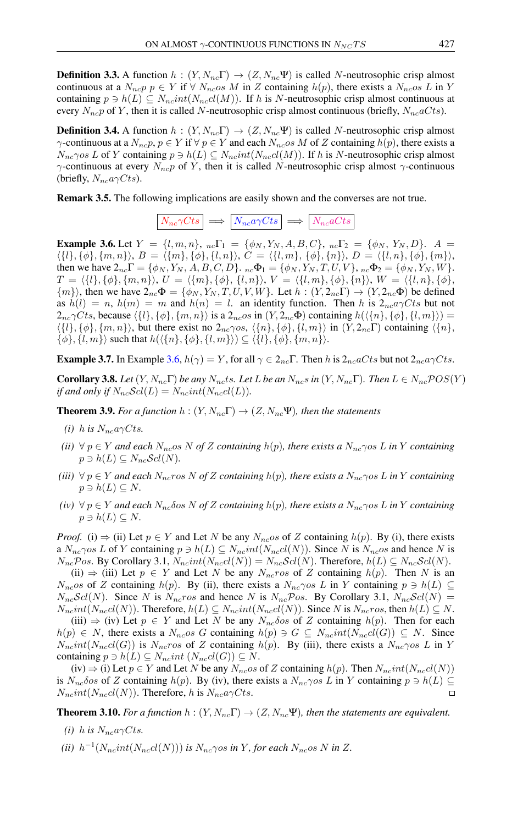**Definition 3.3.** A function  $h : (Y, N_{nc} \Gamma) \to (Z, N_{nc} \Psi)$  is called N-neutrosophic crisp almost continuous at a  $N_{ne}p p \in Y$  if  $\forall N_{ne}$  os M in Z containing  $h(p)$ , there exists a  $N_{ne}$  os L in Y containing  $p \ni h(L) \subseteq N_{nc} int(N_{nc}cl(M))$ . If h is N-neutrosophic crisp almost continuous at every  $N_{nc}p$  of Y, then it is called N-neutrosophic crisp almost continuous (briefly,  $N_{nc}aCts$ ).

**Definition 3.4.** A function  $h : (Y, N_{nc} \Gamma) \rightarrow (Z, N_{nc} \Psi)$  is called N-neutrosophic crisp almost  $\gamma$ -continuous at a  $N_{nc}p$ ,  $p \in Y$  if  $\forall p \in Y$  and each  $N_{nc}$  os M of Z containing  $h(p)$ , there exists a  $N_{nc}$ γos L of Y containing  $p \ni h(L) \subseteq N_{nc} int(N_{nc}cl(M))$ . If h is N-neutrosophic crisp almost  $\gamma$ -continuous at every  $N_{nc}p$  of Y, then it is called N-neutrosophic crisp almost  $\gamma$ -continuous (briefly,  $N_{nc}a\gamma Cts$ ).

Remark 3.5. The following implications are easily shown and the converses are not true.

$$
N_{nc}\gamma Cts \implies N_{nc}a\gamma Cts \implies N_{nc}aCts
$$

<span id="page-3-0"></span>**Example 3.6.** Let  $Y = \{l, m, n\}$ ,  ${}_{nc}\Gamma_1 = \{\phi_N, Y_N, A, B, C\}$ ,  ${}_{nc}\Gamma_2 = \{\phi_N, Y_N, D\}$ .  $A =$  $\langle \{l\}, {\phi}, {m, n}\rangle, B = \langle \{m\}, {\phi}, {l, n}\rangle, C = \langle \{l, m\}, {\phi}, {n}\rangle, D = \langle \{l, n\}, {\phi}, {m}\rangle,$ then we have  $2_{nc}\Gamma = {\phi_N, Y_N, A, B, C, D}$ .  ${}_{nc}\Phi_1 = {\phi_N, Y_N, T, U, V}$ ,  ${}_{nc}\Phi_2 = {\phi_N, Y_N, W}$ .  $T = \langle \{l\}, \{\phi\}, \{m, n\}\rangle, U = \langle \{m\}, \{\phi\}, \{l, n\}\rangle, V = \langle \{l, m\}, \{\phi\}, \{n\}\rangle, W = \langle \{l, n\}, \{\phi\}, \{\phi\}, \{\phi\}\rangle$  $\{m\}$ , then we have  $2_{nc}\Phi = \{\phi_N, Y_N, T, U, V, W\}$ . Let  $h : (Y, 2_{nc}\Gamma) \to (Y, 2_{nc}\Phi)$  be defined as  $h(l) = n$ ,  $h(m) = m$  and  $h(n) = l$ . an identity function. Then h is  $2_{nc}a\gamma C$ ts but not  $2_{nc}\gamma Cts$ , because  $\langle \{l\}, \{\phi\}, \{m, n\}\rangle$  is a  $2_{nc}os$  in  $(Y, 2_{nc}\Phi)$  containing  $h(\langle \{n\}, \{\phi\}, \{l, m\}\rangle)$  =  $\langle \{l\}, \{\phi\}, \{m, n\}\rangle$ , but there exist no  $2_{nc}\gamma os$ ,  $\langle \{n\}, \{\phi\}, \{l, m\}\rangle$  in  $(Y, 2_{nc}\Gamma)$  containing  $\langle \{n\}, \{\phi\}, \{\phi\}, \{\phi\}, \{\phi\}\rangle$  $\{\phi\}, \{l, m\}\rangle$  such that  $h(\langle \{n\}, \{\phi\}, \{l, m\}\rangle) \subseteq \langle \{l\}, \{\phi\}, \{m, n\}\rangle.$ 

**Example 3.7.** In Example [3.6,](#page-3-0)  $h(\gamma) = Y$ , for all  $\gamma \in 2_{nc} \Gamma$ . Then h is  $2_{nc} aCts$  but not  $2_{nc} a\gamma Cts$ .

**Corollary 3.8.** Let  $(Y, N_{nc}\Gamma)$  be any  $N_{nc}$ ts. Let L be an  $N_{nc}s$  in  $(Y, N_{nc}\Gamma)$ . Then  $L \in N_{nc}$   $POS(Y)$ *if and only if*  $N_{nc}$   $\mathcal{S}cl(L) = N_{nc}$   $int(N_{nc}cl(L))$ .

<span id="page-3-1"></span>**Theorem 3.9.** *For a function*  $h : (Y, N_{nc} \Gamma) \rightarrow (Z, N_{nc} \Psi)$ *, then the statements* 

- *(i)* h is  $N_{nc}a\gamma C$ ts.
- *(ii)*  $\forall p \in Y$  *and each*  $N_{nc}$ *os* N *of* Z *containing*  $h(p)$ *, there exists a*  $N_{nc}$  $\gamma$ *os* L *in* Y *containing*  $p \ni h(L) \subseteq N_{nc} \mathcal{S}cl(N).$
- $(iii)$   $\forall p \in Y$  *and each*  $N_{nc}$ *ros* N *of* Z *containing*  $h(p)$ *, there exists a*  $N_{nc}$  $\gamma$ *os* L *in* Y *containing*  $p \ni h(L) \subseteq N$ .
- $(iv)$   $\forall p \in Y$  *and each*  $N_{nc}$ *δos* N *of* Z *containing*  $h(p)$ *, there exists a*  $N_{nc}$  $\gamma$ *os* L *in* Y *containing*  $p \ni h(L) \subseteq N$ .

*Proof.* (i)  $\Rightarrow$  (ii) Let  $p \in Y$  and Let N be any  $N_{nc}$  os of Z containing  $h(p)$ . By (i), there exists a  $N_{nc}\gamma$ os L of Y containing  $p \ni h(L) \subseteq N_{nc}int(N_{nc}cl(N))$ . Since N is  $N_{nc}os$  and hence N is  $N_{nc}$ Pos. By Corollary 3.1,  $N_{nc}int(N_{nc}d(N)) = N_{nc}Scl(N)$ . Therefore,  $h(L) \subseteq N_{nc}Scl(N)$ .

(ii)  $\Rightarrow$  (iii) Let  $p \in Y$  and Let N be any  $N_{nc}$  of Z containing  $h(p)$ . Then N is an  $N_{nc}$ os of Z containing  $h(p)$ . By (ii), there exists a  $N_{nc}$  $\gamma$ os L in Y containing  $p \ni h(L) \subseteq$  $N_{nc}Scl(N)$ . Since N is  $N_{nc}ros$  and hence N is  $N_{nc}Pos$ . By Corollary 3.1,  $N_{nc}Sol(N)$  =  $N_{nc}int(N_{nc}cl(N))$ . Therefore,  $h(L) \subseteq N_{nc}int(N_{nc}cl(N))$ . Since N is  $N_{nc}ros$ , then  $h(L) \subseteq N$ .

(iii)  $\Rightarrow$  (iv) Let  $p \in Y$  and Let N be any  $N_{nc} \delta \circ \sigma$  of Z containing  $h(p)$ . Then for each  $h(p) \in N$ , there exists a  $N_{nc}$ os G containing  $h(p) \ni G \subseteq N_{nc}$ int $(N_{nc}cl(G)) \subseteq N$ . Since  $N_{nc}int(N_{nc}cl(G))$  is  $N_{nc}ros$  of Z containing  $h(p)$ . By (iii), there exists a  $N_{nc}\gamma os L$  in Y containing  $p \ni h(L) \subseteq N_{nc}int(N_{nc}c l(G)) \subseteq N$ .

 $(iv) \Rightarrow (i)$  Let  $p \in Y$  and Let N be any  $N_{nc}$  os of Z containing  $h(p)$ . Then  $N_{nc}int(N_{nc}cl(N))$ is  $N_{nc}\delta$ os of Z containing  $h(p)$ . By (iv), there exists a  $N_{nc}\gamma$ os L in Y containing  $p \ni h(L) \subseteq$  $N_{nc}int(N_{nc}c l(N))$ . Therefore, h is  $N_{nc}a\gamma Cts$ .

<span id="page-3-2"></span>**Theorem 3.10.** *For a function*  $h : (Y, N_{nc} \Gamma) \to (Z, N_{nc} \Psi)$ *, then the statements are equivalent.* 

- *(i)* h is  $N_{nc}a\gamma C$ ts.
- *(ii)*  $h^{-1}(N_{nc}int(N_{nc}cl(N)))$  *is*  $N_{nc}$  $\gamma$ *os in* Y, *for each*  $N_{nc}$ *os* N *in* Z.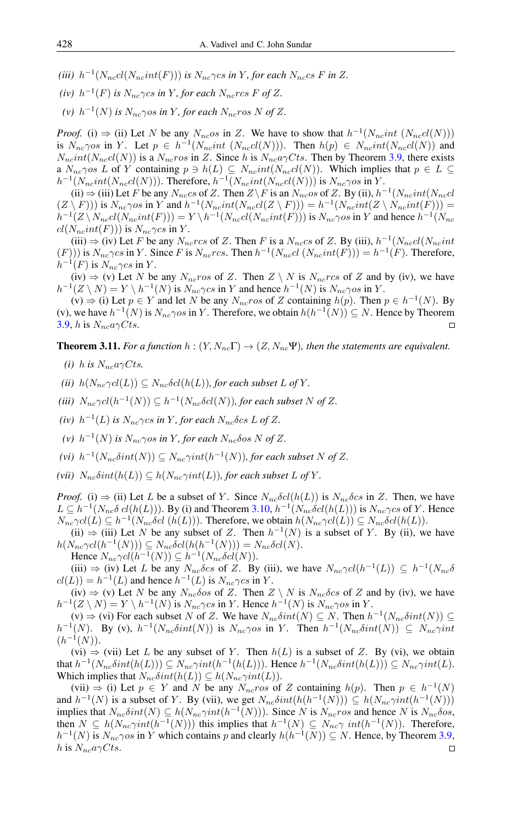- (*iii*)  $h^{-1}(N_{nc}cl(N_{nc}int(F)))$  *is*  $N_{nc}\gamma$ *cs in* Y, for each  $N_{nc}$ *cs* F *in* Z.
- (iv)  $h^{-1}(F)$  is  $N_{nc}\gamma$ cs in Y, for each  $N_{nc}$ rcs F of Z.
- (v)  $h^{-1}(N)$  *is*  $N_{nc}$  $\gamma$ *os in* Y, *for each*  $N_{nc}$ *ros* N *of* Z.

*Proof.* (i)  $\Rightarrow$  (ii) Let N be any  $N_{nc}$  os in Z. We have to show that  $h^{-1}(N_{nc}int (N_{nc}d(N)))$ is  $N_{nc}\gamma$ os in Y. Let  $p \in h^{-1}(N_{nc}int (N_{nc}c l(N)))$ . Then  $h(p) \in N_{nc}int(N_{nc}c l(N))$  and  $N_{nc}int(N_{nc}c l(N))$  is a  $N_{nc}ros$  in Z. Since h is  $N_{nc}a \gamma C$ ts. Then by Theorem [3.9,](#page-3-1) there exists a  $N_{nc}$  $\gamma$ os L of Y containing  $p \ni h(L) \subseteq N_{nc} int(N_{nc} cl(N))$ . Which implies that  $p \in L \subseteq$  $h^{-1}(N_{nc}int(N_{nc}cl(N)))$ . Therefore,  $h^{-1}(N_{nc}int(N_{nc}cl(N)))$  is  $N_{nc}\gamma os$  in Y.

(ii)  $\Rightarrow$  (iii) Let F be any  $N_{nc}$ cs of Z. Then  $Z \backslash F$  is an  $N_{nc}$ os of Z. By (ii),  $h^{-1}(N_{nc}int(N_{nc}$ cl  $(Z \setminus F))$  is  $N_{nc} \gamma$ os in Y and  $h^{-1}(N_{nc}int(N_{nc}d(Z \setminus F))) = h^{-1}(N_{nc}int(Z \setminus N_{nc}int(F)))$  $h^{-1}(Z \setminus N_{nc}cl(N_{nc}int(F))) = Y \setminus h^{-1}(N_{nc}cl(N_{nc}int(F)))$  is  $N_{nc} \gamma os$  in Y and hence  $h^{-1}(N_{nc}$  $cl(N_{nc}int(F)))$  is  $N_{nc}\gamma cs$  in Y.

(iii)  $\Rightarrow$  (iv) Let F be any  $N_{nc}$  rcs of Z. Then F is a  $N_{nc}$  of Z. By (iii),  $h^{-1}(N_{nc}$   $N_{nc}$  int  $(F))$ ) is  $N_{nc} \gamma c s$  in Y. Since F is  $N_{nc} r c s$ . Then  $h^{-1}(N_{nc} d (N_{nc} int(F))) = h^{-1}(F)$ . Therefore,  $h^{-1}(F)$  is  $N_{nc}\gamma cs$  in Y.

(iv)  $\Rightarrow$  (v) Let N be any  $N_{nc}$  ros of Z. Then  $Z \setminus N$  is  $N_{nc}$  rcs of Z and by (iv), we have  $h^{-1}(Z \setminus N) = Y \setminus h^{-1}(N)$  is  $N_{nc} \gamma c s$  in Y and hence  $h^{-1}(N)$  is  $N_{nc} \gamma o s$  in Y.

(v)  $\Rightarrow$  (i) Let *p* ∈ *Y* and let *N* be any *N<sub>nc</sub>ros* of *Z* containing *h*(*p*). Then *p* ∈ *h*<sup>-1</sup>(*N*). By (v), we have  $h^{-1}(N)$  is  $N_{nc}\gamma os$  in Y. Therefore, we obtain  $h(h^{-1}(N)) \subseteq N$ . Hence by Theorem [3.9,](#page-3-1) h is  $N_{nc}a\gamma C$ ts.  $\Box$ 

**Theorem 3.11.** *For a function*  $h : (Y, N_{nc} \Gamma) \to (Z, N_{nc} \Psi)$ *, then the statements are equivalent.* 

- *(i)* h is  $N_{nc}a\gamma C$ ts.
- *(ii)*  $h(N_{nc}\gamma c l(L)) \subseteq N_{nc}\delta c l(h(L))$ *, for each subset* L of Y.
- (*iii*)  $N_{nc} \gamma c l(h^{-1}(N)) \subseteq h^{-1}(N_{nc} \delta c l(N))$ , for each subset N of Z.
- (*iv*)  $h^{-1}(L)$  *is*  $N_{nc}\gamma$ *cs in* Y, for each  $N_{nc}\delta$ *cs* L of Z.
- (v)  $h^{-1}(N)$  *is*  $N_{nc}$  $\gamma$ *os in* Y, *for each*  $N_{nc}$  $\delta$ *os* N *of* Z.
- (vi)  $h^{-1}(N_{nc}\delta int(N)) \subseteq N_{nc}\gamma int(h^{-1}(N))$ , for each subset N of Z.
- *(vii)*  $N_{nc}\delta int(h(L)) \subseteq h(N_{nc}\gamma int(L))$ *, for each subset* L *of* Y.

*Proof.* (i)  $\Rightarrow$  (ii) Let L be a subset of Y. Since  $N_{nc}\delta c l(h(L))$  is  $N_{nc}\delta c s$  in Z. Then, we have  $L \subseteq h^{-1}(N_{nc}\delta \, cl(h(L)))$ . By (i) and Theorem [3.10,](#page-3-2)  $h^{-1}(N_{nc}\delta cl(h(L)))$  is  $N_{nc}\gamma cs$  of Y. Hence  $N_{nc}\gamma cl(L) \subseteq h^{-1}(N_{nc}\delta cl(h(L)))$ . Therefore, we obtain  $h(N_{nc}\gamma cl(L)) \subseteq N_{nc}\delta cl(h(L))$ .

(ii)  $\Rightarrow$  (iii) Let N be any subset of Z. Then  $h^{-1}(N)$  is a subset of Y. By (ii), we have  $h(N_{nc}\gamma cl(h^{-1}(N))) \subseteq N_{nc}\delta cl(h(h^{-1}(N))) = N_{nc}\delta cl(N).$ 

Hence  $N_{nc} \gamma cl(h^{-1}(N)) \subseteq h^{-1}(N_{nc} \delta cl(N)).$ 

(iii)  $\Rightarrow$  (iv) Let L be any  $N_{nc}\delta cs$  of Z. By (iii), we have  $N_{nc}\gamma cl(h^{-1}(L)) \subseteq h^{-1}(N_{nc}\delta s)$  $cl(L)) = h^{-1}(L)$  and hence  $h^{-1}(L)$  is  $N_{nc} \gamma c s$  in Y.

(iv)  $\Rightarrow$  (v) Let N be any  $N_{nc}\delta$  os of Z. Then  $Z \setminus N$  is  $N_{nc}\delta$  cs of Z and by (iv), we have  $h^{-1}(Z \setminus N) = Y \setminus h^{-1}(N)$  is  $N_{nc} \gamma c s$  in Y. Hence  $h^{-1}(N)$  is  $N_{nc} \gamma o s$  in Y.

(v)  $\Rightarrow$  (vi) For each subset N of Z. We have  $N_{nc}\delta int(N) \subseteq N$ . Then  $h^{-1}(N_{nc}\delta int(N)) \subseteq$  $h^{-1}(N)$ . By (v),  $h^{-1}(N_{nc}\delta int(N))$  is  $N_{nc}\gamma os$  in Y. Then  $h^{-1}(N_{nc}\delta int(N)) \subseteq N_{nc}\gamma int$  $(h^{-1}(N)).$ 

(vi)  $\Rightarrow$  (vii) Let L be any subset of Y. Then  $h(L)$  is a subset of Z. By (vi), we obtain that  $h^{-1}(N_{nc}\delta int(h(L))) \subseteq N_{nc}\gamma int(h^{-1}(h(L)))$ . Hence  $h^{-1}(N_{nc}\delta int(h(L))) \subseteq N_{nc}\gamma int(L)$ . Which implies that  $N_{nc}\delta int(h(L)) \subseteq h(N_{nc}\gamma int(L)).$ 

(vii)  $\Rightarrow$  (i) Let  $p \in Y$  and N be any  $N_{nc}$ ros of Z containing  $h(p)$ . Then  $p \in h^{-1}(N)$ and  $h^{-1}(N)$  is a subset of Y. By (vii), we get  $N_{nc}\delta int(h(h^{-1}(N))) \subseteq h(N_{nc}\gamma int(h^{-1}(N)))$ implies that  $N_{nc}\delta int(N) \subseteq h(N_{nc}\gamma int(h^{-1}(N)))$ . Since N is  $N_{nc}$ ros and hence N is  $N_{nc}\delta os$ , then  $N \subseteq h(N_{nc}\gamma int(h^{-1}(N)))$  this implies that  $h^{-1}(N) \subseteq N_{nc}\gamma int(h^{-1}(N))$ . Therefore,  $h^{-1}(N)$  is  $N_{nc}\gamma$ os in Y which contains p and clearly  $h(h^{-1}(N)) \subseteq N$ . Hence, by Theorem [3.9,](#page-3-1) h is  $N_{nc}a\gamma Cts$ .  $\Box$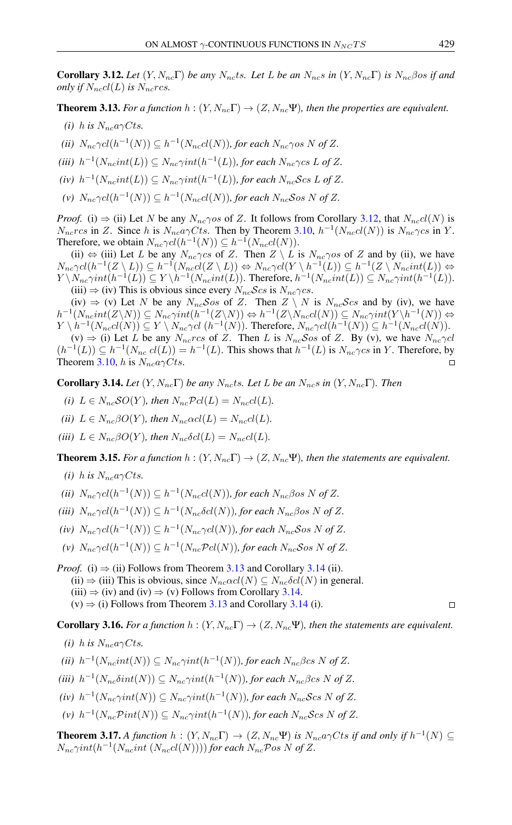<span id="page-5-0"></span>**Corollary 3.12.** Let  $(Y, N_{nc}\Gamma)$  be any  $N_{nc}$ ts. Let L be an  $N_{nc}s$  in  $(Y, N_{nc}\Gamma)$  is  $N_{nc}\beta$ os if and *only if*  $N_{nc}cl(L)$  *is*  $N_{nc}rcs$ .

<span id="page-5-1"></span>**Theorem 3.13.** *For a function*  $h : (Y, N_{nc} \Gamma) \to (Z, N_{nc} \Psi)$ *, then the properties are equivalent.* 

- *(i)* h is  $N_{nc}a\gamma C$ ts.
- (*ii*)  $N_{nc} \gamma c l(h^{-1}(N)) \subseteq h^{-1}(N_{nc} c l(N))$ , for each  $N_{nc} \gamma o s N$  of Z.
- (*iii*)  $h^{-1}(N_{nc}int(L)) \subseteq N_{nc}\gamma int(h^{-1}(L))$ , for each  $N_{nc}\gamma$ cs L of Z.
- $(iv)$   $h^{-1}(N_{nc}int(L)) \subseteq N_{nc}\gamma int(h^{-1}(L))$ , for each  $N_{nc}$ Scs L of Z.
- $(v)$   $N_{nc} \gamma cl(h^{-1}(N)) \subseteq h^{-1}(N_{nc}cl(N)),$  for each  $N_{nc}$ Sos N of Z.

*Proof.* (i)  $\Rightarrow$  (ii) Let N be any  $N_{nc}\gamma$  os of Z. It follows from Corollary [3.12,](#page-5-0) that  $N_{nc}cl(N)$  is  $N_{nc}$ rcs in Z. Since h is  $N_{nc}a\gamma C$ ts. Then by Theorem [3.10,](#page-3-2)  $h^{-1}(N_{nc}cl(N))$  is  $N_{nc}\gamma cs$  in Y. Therefore, we obtain  $N_{nc} \gamma c l(h^{-1}(N)) \subseteq h^{-1}(N_{nc} c l(N)).$ 

(ii)  $\Leftrightarrow$  (iii) Let L be any  $N_{nc}\gamma cs$  of Z. Then  $Z \setminus L$  is  $N_{nc}\gamma os$  of Z and by (ii), we have  $N_{nc}\gamma cl(h^{-1}(Z \setminus L)) \subseteq h^{-1}(N_{nc}cl(Z \setminus L)) \Leftrightarrow N_{nc}\gamma cl(Y \setminus h^{-1}(L)) \subseteq h^{-1}(Z \setminus N_{nc}int(L)) \Leftrightarrow$  $Y \setminus N_{nc}\gamma int(h^{-1}(L)) \subseteq Y \setminus h^{-1}(N_{nc}int(L))$ . Therefore,  $h^{-1}(N_{nc}int(L)) \subseteq N_{nc}\gamma int(h^{-1}(L))$ . (iii)  $\Rightarrow$  (iv) This is obvious since every  $N_{nc}$ Scs is  $N_{nc}$  $\gamma$ cs.

(iv)  $\Rightarrow$  (v) Let N be any  $N_{nc}\mathcal{S}os$  of Z. Then  $Z \setminus N$  is  $N_{nc}\mathcal{S}cs$  and by (iv), we have  $h^{-1}(N_{nc}int(Z\setminus N))\subseteq N_{nc}\gamma int(h^{-1}(Z\setminus N))\Leftrightarrow h^{-1}(Z\setminus N_{nc}cl(N))\subseteq N_{nc}\gamma int(Y\setminus h^{-1}(N))\Leftrightarrow$  $Y \setminus h^{-1}(N_{nc}cl(N)) \subseteq Y \setminus N_{nc} \gamma cl \ (h^{-1}(N))$ . Therefore,  $N_{nc} \gamma cl(h^{-1}(N)) \subseteq h^{-1}(N_{nc}cl(N))$ .

(v)  $\Rightarrow$  (i) Let L be any  $N_{nc}$ rcs of Z. Then L is  $N_{nc}$ Sos of Z. By (v), we have  $N_{nc} \gamma cl$  $(h^{-1}(L)) \subseteq h^{-1}(N_{nc} \text{ } cl(L)) = h^{-1}(L)$ . This shows that  $h^{-1}(L)$  is  $N_{nc} \gamma c s$  in Y. Therefore, by Theorem [3.10,](#page-3-2) h is  $N_{nc}a\gamma C$ ts.  $\Box$ 

<span id="page-5-2"></span>**Corollary 3.14.** *Let*  $(Y, N_{nc} \Gamma)$  *be any*  $N_{nc}$ *ts. Let L be an*  $N_{nc}$ *s in*  $(Y, N_{nc} \Gamma)$ *. Then* 

- *(i)*  $L \in N_{nc}SO(Y)$ *, then*  $N_{nc}Pcl(L) = N_{nc}cl(L)$ *.*
- *(ii)*  $L \in N_{nc}\beta O(Y)$ *, then*  $N_{nc}\alpha cl(L) = N_{nc}cl(L)$ *.*
- *(iii)*  $L \in N_{nc} \beta O(Y)$ *, then*  $N_{nc} \delta cl(L) = N_{nc} cl(L)$ *.*

**Theorem 3.15.** *For a function*  $h : (Y, N_{nc} \Gamma) \to (Z, N_{nc} \Psi)$ *, then the statements are equivalent.* 

- *(i)* h is  $N_{nc}a\gamma C$ ts.
- (*ii*)  $N_{nc} \gamma c l(h^{-1}(N)) \subseteq h^{-1}(N_{nc} c l(N))$ , for each  $N_{nc} \beta$ os N of Z.
- (*iii*)  $N_{nc} \gamma c l(h^{-1}(N)) \subseteq h^{-1}(N_{nc} \delta c l(N))$ *, for each*  $N_{nc} \beta o s N$  of Z.
- $(iv)$   $N_{nc} \gamma cl(h^{-1}(N)) \subseteq h^{-1}(N_{nc} \gamma cl(N)),$  for each  $N_{nc}$ Sos N of Z.
- $(v)$   $N_{nc} \gamma cl(h^{-1}(N)) \subseteq h^{-1}(N_{nc} \mathcal{P}cl(N))$ , for each  $N_{nc} \mathcal{S}osN$  of Z.
- *Proof.* (i)  $\Rightarrow$  (ii) Follows from Theorem [3.13](#page-5-1) and Corollary [3.14](#page-5-2) (ii). (ii)  $\Rightarrow$  (iii) This is obvious, since  $N_{nc}\alpha c l(N) \subseteq N_{nc}\delta c l(N)$  in general. (iii)  $\Rightarrow$  (iv) and (iv)  $\Rightarrow$  (v) Follows from Corollary [3.14.](#page-5-2)  $(v) \Rightarrow$  (i) Follows from Theorem [3.13](#page-5-1) and Corollary [3.14](#page-5-2) (i).

**Corollary 3.16.** *For a function*  $h : (Y, N_{nc} \Gamma) \to (Z, N_{nc} \Psi)$ *, then the statements are equivalent.* 

- *(i)* h is  $N_{nc}a\gamma C$ ts.
- (*ii*)  $h^{-1}(N_{nc}int(N)) \subseteq N_{nc}\gamma int(h^{-1}(N))$ , for each  $N_{nc}\beta$ cs N of Z.
- (*iii*)  $h^{-1}(N_{nc}\delta int(N)) \subseteq N_{nc}\gamma int(h^{-1}(N))$ , for each  $N_{nc}\beta$ cs N of Z.
- $(iv)$   $h^{-1}(N_{nc}\gamma int(N)) \subseteq N_{nc}\gamma int(h^{-1}(N))$ *, for each*  $N_{nc}$ *Scs* N of Z.
- $(v)$   $h^{-1}(N_{nc}\mathcal{P}int(N)) \subseteq N_{nc}\gamma int(h^{-1}(N))$ , for each  $N_{nc}\mathcal{S}csN$  of Z.

<span id="page-5-3"></span>**Theorem 3.17.** *A function*  $h : (Y, N_{nc} \Gamma) \to (Z, N_{nc} \Psi)$  *is*  $N_{nc} a \gamma C$ *ts if and only if*  $h^{-1}(N) \subseteq$  $N_{nc}\gamma int(h^{-1}(N_{nc}int (N_{nc}cl(N))))$  for each  $N_{nc}$ Pos N of Z.

 $\Box$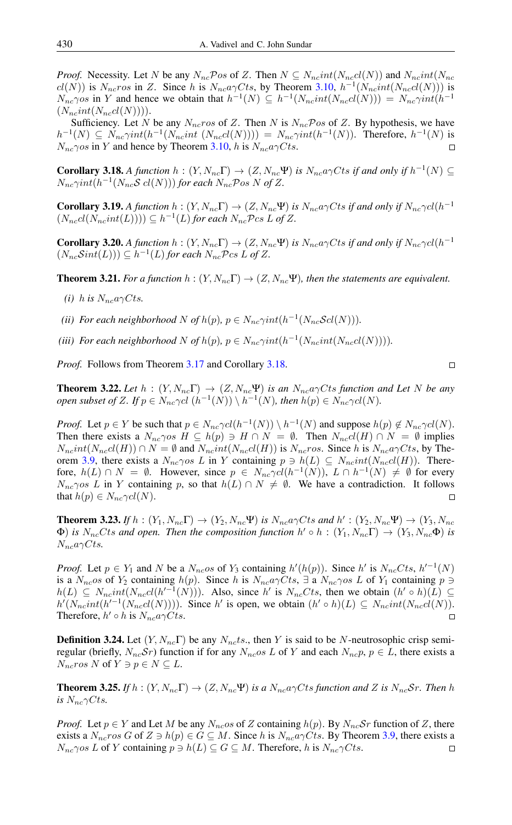*Proof.* Necessity. Let N be any  $N_{nc}$ Pos of Z. Then  $N \subseteq N_{nc} int(N_{nc} cl(N))$  and  $N_{nc} int(N_{nc} cl(N))$  $cl(N)$ ) is  $N_{nc}$ ros in Z. Since h is  $N_{nc}a\gamma C$ ts, by Theorem [3.10,](#page-3-2)  $h^{-1}(N_{nc}int(N_{nc}cl(N)))$  is  $N_{nc} \gamma$ os in Y and hence we obtain that  $h^{-1}(N) \subseteq h^{-1}(N_{nc}int(N_{nc}d(N))) = N_{nc} \gamma int(h^{-1}$  $(N_{nc}int(N_{nc}c l(N))).$ 

Sufficiency. Let N be any  $N_{nc}$  ros of Z. Then N is  $N_{nc}$  Pos of Z. By hypothesis, we have  $h^{-1}(N) \subseteq N_{nc}\gamma int(h^{-1}(N_{nc}int(N_{nc}d(N)))) = N_{nc}\gamma int(h^{-1}(N))$ . Therefore,  $h^{-1}(N)$  is  $N_{nc}\gamma$ os in Y and hence by Theorem [3.10,](#page-3-2) h is  $N_{nc}a\gamma C$ ts.

<span id="page-6-0"></span>**Corollary 3.18.** *A function*  $h: (Y, N_{nc} \Gamma) \to (Z, N_{nc} \Psi)$  *is*  $N_{nc} a \gamma C$ *ts if and only if*  $h^{-1}(N) \subseteq$  $N_{nc}\gamma int(h^{-1}(N_{nc}S\;cl(N)))$  for each  $N_{nc}\mathcal{P}$ os N of Z.

**Corollary 3.19.** *A function*  $h: (Y, N_{nc} \Gamma) \to (Z, N_{nc} \Psi)$  *is*  $N_{nc} \gamma C$ *ts if and only if*  $N_{nc} \gamma c l (h^{-1} \Psi)$  $(N_{nc}cl(N_{nc}int(L)))) \subseteq h^{-1}(L)$  *for each*  $N_{nc}$ *Pcs L of Z*.

**Corollary 3.20.** *A function*  $h: (Y, N_{nc} \Gamma) \to (Z, N_{nc} \Psi)$  *is*  $N_{nc} \gamma C$ *ts if and only if*  $N_{nc} \gamma c l (h^{-1} \Psi)$  $(N_{nc}Sint(L))) \subseteq h^{-1}(L)$  for each  $N_{nc}Pcs L$  of Z.

**Theorem 3.21.** *For a function*  $h : (Y, N_{nc} \Gamma) \to (Z, N_{nc} \Psi)$ *, then the statements are equivalent.* 

- *(i)* h is  $N_{nc}a\gamma C$ ts.
- (*ii*) For each neighborhood N of  $h(p)$ ,  $p \in N_{nc} \gamma int(h^{-1}(N_{nc} \mathcal{S}cl(N))).$
- (iii) For each neighborhood N of  $h(p)$ ,  $p \in N_{nc} \gamma int(h^{-1}(N_{nc} int(N_{nc} cl(N))))$ .

*Proof.* Follows from Theorem [3.17](#page-5-3) and Corollary [3.18.](#page-6-0)

**Theorem 3.22.** Let  $h : (Y, N_{nc} \Gamma) \rightarrow (Z, N_{nc} \Psi)$  is an  $N_{nc} a \gamma C$ ts function and Let N be any *open subset of Z.* If  $p \in N_{nc} \gamma cl \ (h^{-1}(N)) \setminus h^{-1}(N)$ , then  $h(p) \in N_{nc} \gamma cl(N)$ .

*Proof.* Let  $p \in Y$  be such that  $p \in N_{nc} \gamma cl(h^{-1}(N)) \setminus h^{-1}(N)$  and suppose  $h(p) \notin N_{nc} \gamma cl(N)$ . Then there exists a  $N_{nc}\gamma os H \subseteq h(p) \ni H \cap N = \emptyset$ . Then  $N_{nc}cl(H) \cap N = \emptyset$  implies  $N_{nc}int(N_{nc}c l(H)) \cap N = \emptyset$  and  $N_{nc}int(N_{nc}c l(H))$  is  $N_{nc}ros$ . Since h is  $N_{nc}a \gamma Cts$ , by The-orem [3.9,](#page-3-1) there exists a  $N_{nc}\gamma$  as L in Y containing  $p \ni h(L) \subseteq N_{nc}int(N_{nc}c(lH))$ . Therefore,  $h(L) \cap N = \emptyset$ . However, since  $p \in N_{nc} \gamma cl(h^{-1}(N))$ ,  $L \cap h^{-1}(N) \neq \emptyset$  for every  $N_{nc}$ γos L in Y containing p, so that  $h(L) \cap N \neq \emptyset$ . We have a contradiction. It follows that  $h(p) \in N_{nc} \gamma cl(N)$ .

**Theorem 3.23.** *If*  $h : (Y_1, N_{nc} \Gamma) \to (Y_2, N_{nc} \Psi)$  *is*  $N_{nc} a \gamma C$ *ts and*  $h' : (Y_2, N_{nc} \Psi) \to (Y_3, N_{nc} \Psi)$  $\Phi)$  *is*  $N_{nc}C$ *ts and open. Then the composition function*  $h' \circ h$  :  $(Y_1, N_{nc} \Gamma) \to (Y_3, N_{nc} \Phi)$  *is*  $N_{nc}a\gamma C$ ts.

*Proof.* Let  $p \in Y_1$  and N be a  $N_{nc}$  os of  $Y_3$  containing  $h'(h(p))$ . Since h' is  $N_{nc}Cts$ ,  $h'^{-1}(N)$ is a  $N_{nc}$ os of Y<sub>2</sub> containing  $h(p)$ . Since h is  $N_{nc}a\gamma Cts$ , ∃ a  $N_{nc}\gamma os L$  of Y<sub>1</sub> containing  $p \ni$  $h(L) \subseteq N_{nc} int(N_{nc} cl(h^{-1}(N)))$ . Also, since h' is  $N_{nc} Cts$ , then we obtain  $(h' \circ h)(L) \subseteq$  $h'(N_{nc}int(h'^{-1}(N_{nc}cl(N))))$ . Since h' is open, we obtain  $(h' \circ h)(L) \subseteq N_{nc}int(N_{nc}cl(N))$ . Therefore,  $h' \circ h$  is  $N_{nc}a\gamma Cts$ .  $\Box$ 

**Definition 3.24.** Let  $(Y, N_{nc}\Gamma)$  be any  $N_{nc}ts$ , then Y is said to be N-neutrosophic crisp semiregular (briefly,  $N_{nc}S_r$ ) function if for any  $N_{nc}os L$  of Y and each  $N_{nc}p$ ,  $p \in L$ , there exists a  $N_{nc}$ ros N of Y  $\supset p \in N \subseteq L$ .

**Theorem 3.25.** If  $h : (Y, N_{nc} \Gamma) \to (Z, N_{nc} \Psi)$  *is a*  $N_{nc} \alpha \gamma C$ *ts function and* Z *is*  $N_{nc} \mathcal{S}r$ . Then h *is*  $N_{nc} \gamma C$ *ts.* 

*Proof.* Let  $p \in Y$  and Let M be any  $N_{nc}$  os of Z containing  $h(p)$ . By  $N_{nc}$  Sr function of Z, there exists a  $N_{nc}$ ros G of  $Z \ni h(p) \in G \subseteq M$ . Since h is  $N_{nc}$ q $\gamma C$ ts. By Theorem [3.9,](#page-3-1) there exists a  $N_{nc}\gamma$ os L of Y containing  $p \ni h(L) \subseteq G \subseteq M$ . Therefore, h is  $N_{nc}\gamma Cts$ .  $\Box$ 

$$
\Box
$$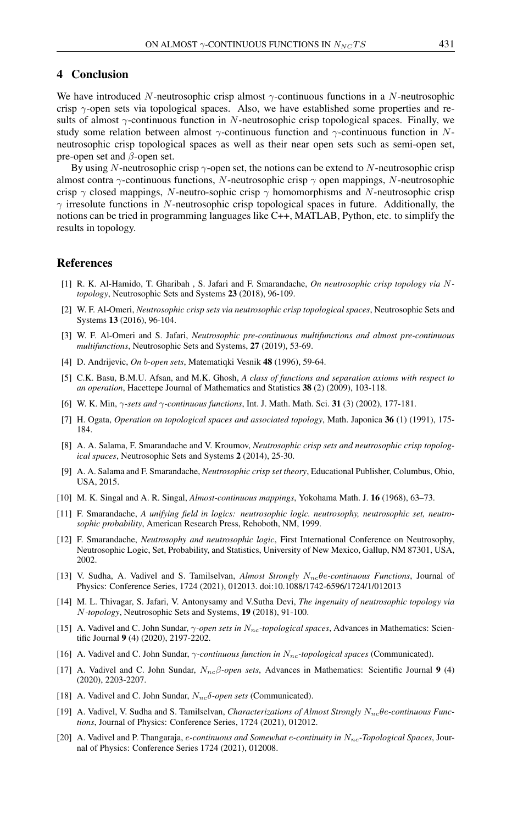## 4 Conclusion

We have introduced N-neutrosophic crisp almost  $\gamma$ -continuous functions in a N-neutrosophic crisp  $\gamma$ -open sets via topological spaces. Also, we have established some properties and results of almost  $\gamma$ -continuous function in N-neutrosophic crisp topological spaces. Finally, we study some relation between almost  $\gamma$ -continuous function and  $\gamma$ -continuous function in Nneutrosophic crisp topological spaces as well as their near open sets such as semi-open set, pre-open set and  $\beta$ -open set.

By using N-neutrosophic crisp  $\gamma$ -open set, the notions can be extend to N-neutrosophic crisp almost contra  $\gamma$ -continuous functions, N-neutrosophic crisp  $\gamma$  open mappings, N-neutrosophic crisp  $\gamma$  closed mappings, N-neutro-sophic crisp  $\gamma$  homomorphisms and N-neutrosophic crisp  $\gamma$  irresolute functions in N-neutrosophic crisp topological spaces in future. Additionally, the notions can be tried in programming languages like C++, MATLAB, Python, etc. to simplify the results in topology.

## <span id="page-7-0"></span>References

- <span id="page-7-5"></span>[1] R. K. Al-Hamido, T. Gharibah , S. Jafari and F. Smarandache, *On neutrosophic crisp topology via* N*topology*, Neutrosophic Sets and Systems 23 (2018), 96-109.
- <span id="page-7-4"></span>[2] W. F. Al-Omeri, *Neutrosophic crisp sets via neutrosophic crisp topological spaces*, Neutrosophic Sets and Systems 13 (2016), 96-104.
- <span id="page-7-12"></span>[3] W. F. Al-Omeri and S. Jafari, *Neutrosophic pre-continuous multifunctions and almost pre-continuous multifunctions*, Neutrosophic Sets and Systems, 27 (2019), 53-69.
- <span id="page-7-6"></span>[4] D. Andrijevic, *On* b*-open sets*, Matematiqki Vesnik 48 (1996), 59-64.
- <span id="page-7-9"></span>[5] C.K. Basu, B.M.U. Afsan, and M.K. Ghosh, *A class of functions and separation axioms with respect to an operation*, Hacettepe Journal of Mathematics and Statistics 38 (2) (2009), 103-118.
- <span id="page-7-8"></span>[6] W. K. Min, γ*-sets and* γ*-continuous functions*, Int. J. Math. Math. Sci. 31 (3) (2002), 177-181.
- <span id="page-7-7"></span>[7] H. Ogata, *Operation on topological spaces and associated topology*, Math. Japonica 36 (1) (1991), 175- 184.
- <span id="page-7-3"></span>[8] A. A. Salama, F. Smarandache and V. Kroumov, *Neutrosophic crisp sets and neutrosophic crisp topological spaces*, Neutrosophic Sets and Systems 2 (2014), 25-30.
- <span id="page-7-16"></span>[9] A. A. Salama and F. Smarandache, *Neutrosophic crisp set theory*, Educational Publisher, Columbus, Ohio, USA, 2015.
- <span id="page-7-11"></span>[10] M. K. Singal and A. R. Singal, *Almost-continuous mappings*, Yokohama Math. J. 16 (1968), 63–73.
- <span id="page-7-1"></span>[11] F. Smarandache, *A unifying field in logics: neutrosophic logic. neutrosophy, neutrosophic set, neutrosophic probability*, American Research Press, Rehoboth, NM, 1999.
- <span id="page-7-2"></span>[12] F. Smarandache, *Neutrosophy and neutrosophic logic*, First International Conference on Neutrosophy, Neutrosophic Logic, Set, Probability, and Statistics, University of New Mexico, Gallup, NM 87301, USA, 2002.
- <span id="page-7-13"></span>[13] V. Sudha, A. Vadivel and S. Tamilselvan, *Almost Strongly N<sub>nc</sub>θe-continuous Functions*, Journal of Physics: Conference Series, 1724 (2021), 012013. doi:10.1088/1742-6596/1724/1/012013
- <span id="page-7-18"></span>[14] M. L. Thivagar, S. Jafari, V. Antonysamy and V.Sutha Devi, *The ingenuity of neutrosophic topology via* N*-topology*, Neutrosophic Sets and Systems, 19 (2018), 91-100.
- <span id="page-7-10"></span>[15] A. Vadivel and C. John Sundar, γ*-open sets in* Nnc*-topological spaces*, Advances in Mathematics: Scientific Journal 9 (4) (2020), 2197-2202.
- <span id="page-7-20"></span>[16] A. Vadivel and C. John Sundar, γ*-continuous function in* Nnc*-topological spaces* (Communicated).
- <span id="page-7-17"></span>[17] A. Vadivel and C. John Sundar, Nncβ*-open sets*, Advances in Mathematics: Scientific Journal 9 (4) (2020), 2203-2207.
- <span id="page-7-19"></span>[18] A. Vadivel and C. John Sundar, N<sub>nc</sub>δ-open sets (Communicated).
- <span id="page-7-14"></span>[19] A. Vadivel, V. Sudha and S. Tamilselvan, *Characterizations of Almost Strongly* N<sub>nc</sub> $\theta$ e-continuous Func*tions*, Journal of Physics: Conference Series, 1724 (2021), 012012.
- <span id="page-7-15"></span>[20] A. Vadivel and P. Thangaraja, e-continuous and Somewhat e-continuity in  $N_{nc}$ -Topological Spaces, Journal of Physics: Conference Series 1724 (2021), 012008.